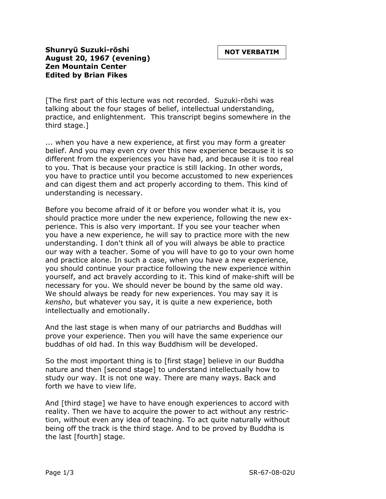## **Shunryū Suzuki-rōshi August 20, 1967 (evening) Zen Mountain Center Edited by Brian Fikes**

[The first part of this lecture was not recorded. Suzuki-rōshi was talking about the four stages of belief, intellectual understanding, practice, and enlightenment. This transcript begins somewhere in the third stage.]

... when you have a new experience, at first you may form a greater belief. And you may even cry over this new experience because it is so different from the experiences you have had, and because it is too real to you. That is because your practice is still lacking. In other words, you have to practice until you become accustomed to new experiences and can digest them and act properly according to them. This kind of understanding is necessary.

Before you become afraid of it or before you wonder what it is, you should practice more under the new experience, following the new experience. This is also very important. If you see your teacher when you have a new experience, he will say to practice more with the new understanding. I don't think all of you will always be able to practice our way with a teacher. Some of you will have to go to your own home and practice alone. In such a case, when you have a new experience, you should continue your practice following the new experience within yourself, and act bravely according to it. This kind of make-shift will be necessary for you. We should never be bound by the same old way. We should always be ready for new experiences. You may say it is *kensho*, but whatever you say, it is quite a new experience, both intellectually and emotionally.

And the last stage is when many of our patriarchs and Buddhas will prove your experience. Then you will have the same experience our buddhas of old had. In this way Buddhism will be developed.

So the most important thing is to [first stage] believe in our Buddha nature and then [second stage] to understand intellectually how to study our way. It is not one way. There are many ways. Back and forth we have to view life.

And [third stage] we have to have enough experiences to accord with reality. Then we have to acquire the power to act without any restriction, without even any idea of teaching. To act quite naturally without being off the track is the third stage. And to be proved by Buddha is the last [fourth] stage.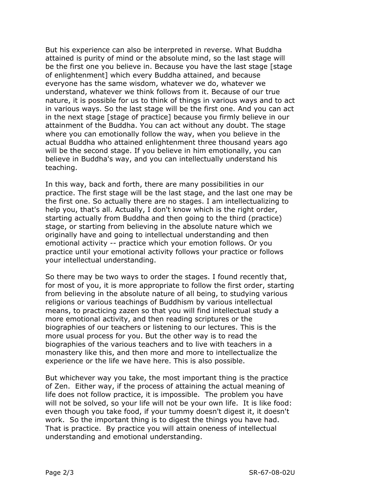But his experience can also be interpreted in reverse. What Buddha attained is purity of mind or the absolute mind, so the last stage will be the first one you believe in. Because you have the last stage [stage of enlightenment] which every Buddha attained, and because everyone has the same wisdom, whatever we do, whatever we understand, whatever we think follows from it. Because of our true nature, it is possible for us to think of things in various ways and to act in various ways. So the last stage will be the first one. And you can act in the next stage [stage of practice] because you firmly believe in our attainment of the Buddha. You can act without any doubt. The stage where you can emotionally follow the way, when you believe in the actual Buddha who attained enlightenment three thousand years ago will be the second stage. If you believe in him emotionally, you can believe in Buddha's way, and you can intellectually understand his teaching.

In this way, back and forth, there are many possibilities in our practice. The first stage will be the last stage, and the last one may be the first one. So actually there are no stages. I am intellectualizing to help you, that's all. Actually, I don't know which is the right order, starting actually from Buddha and then going to the third (practice) stage, or starting from believing in the absolute nature which we originally have and going to intellectual understanding and then emotional activity -- practice which your emotion follows. Or you practice until your emotional activity follows your practice or follows your intellectual understanding.

So there may be two ways to order the stages. I found recently that, for most of you, it is more appropriate to follow the first order, starting from believing in the absolute nature of all being, to studying various religions or various teachings of Buddhism by various intellectual means, to practicing zazen so that you will find intellectual study a more emotional activity, and then reading scriptures or the biographies of our teachers or listening to our lectures. This is the more usual process for you. But the other way is to read the biographies of the various teachers and to live with teachers in a monastery like this, and then more and more to intellectualize the experience or the life we have here. This is also possible.

But whichever way you take, the most important thing is the practice of Zen. Either way, if the process of attaining the actual meaning of life does not follow practice, it is impossible. The problem you have will not be solved, so your life will not be your own life. It is like food: even though you take food, if your tummy doesn't digest it, it doesn't work. So the important thing is to digest the things you have had. That is practice. By practice you will attain oneness of intellectual understanding and emotional understanding.